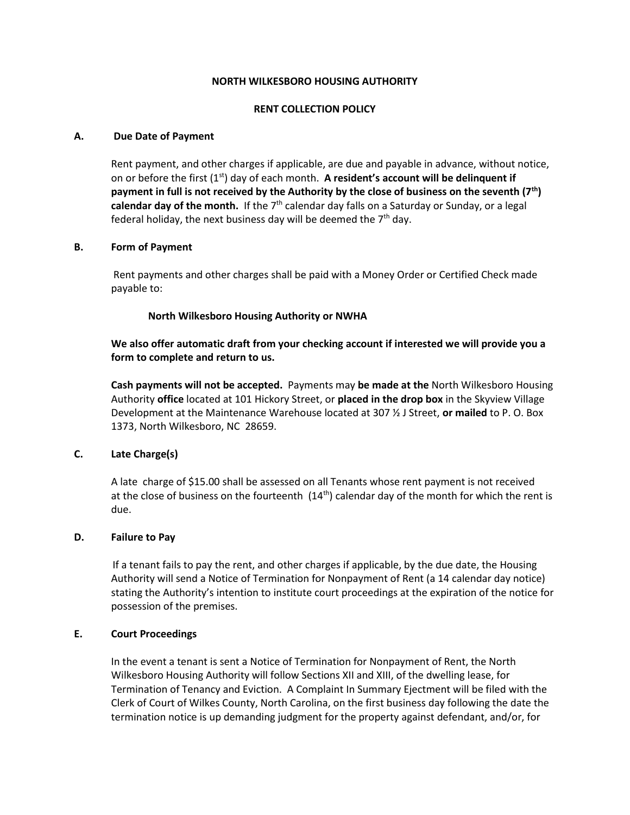# **NORTH WILKESBORO HOUSING AUTHORITY**

# **RENT COLLECTION POLICY**

## **A. Due Date of Payment**

Rent payment, and other charges if applicable, are due and payable in advance, without notice, on or before the first (1st) day of each month. **A resident's account will be delinquent if payment in full is not received by the Authority by the close of business on the seventh (7th)**  calendar day of the month. If the 7<sup>th</sup> calendar day falls on a Saturday or Sunday, or a legal federal holiday, the next business day will be deemed the  $7<sup>th</sup>$  day.

# **B. Form of Payment**

Rent payments and other charges shall be paid with a Money Order or Certified Check made payable to:

# **North Wilkesboro Housing Authority or NWHA**

**We also offer automatic draft from your checking account if interested we will provide you a form to complete and return to us.** 

**Cash payments will not be accepted.** Payments may **be made at the** North Wilkesboro Housing Authority **office** located at 101 Hickory Street, or **placed in the drop box** in the Skyview Village Development at the Maintenance Warehouse located at 307 ½ J Street, **or mailed** to P. O. Box 1373, North Wilkesboro, NC 28659.

# **C. Late Charge(s)**

A late charge of \$15.00 shall be assessed on all Tenants whose rent payment is not received at the close of business on the fourteenth  $(14<sup>th</sup>)$  calendar day of the month for which the rent is due.

### **D. Failure to Pay**

If a tenant fails to pay the rent, and other charges if applicable, by the due date, the Housing Authority will send a Notice of Termination for Nonpayment of Rent (a 14 calendar day notice) stating the Authority's intention to institute court proceedings at the expiration of the notice for possession of the premises.

## **E. Court Proceedings**

In the event a tenant is sent a Notice of Termination for Nonpayment of Rent, the North Wilkesboro Housing Authority will follow Sections XII and XIII, of the dwelling lease, for Termination of Tenancy and Eviction. A Complaint In Summary Ejectment will be filed with the Clerk of Court of Wilkes County, North Carolina, on the first business day following the date the termination notice is up demanding judgment for the property against defendant, and/or, for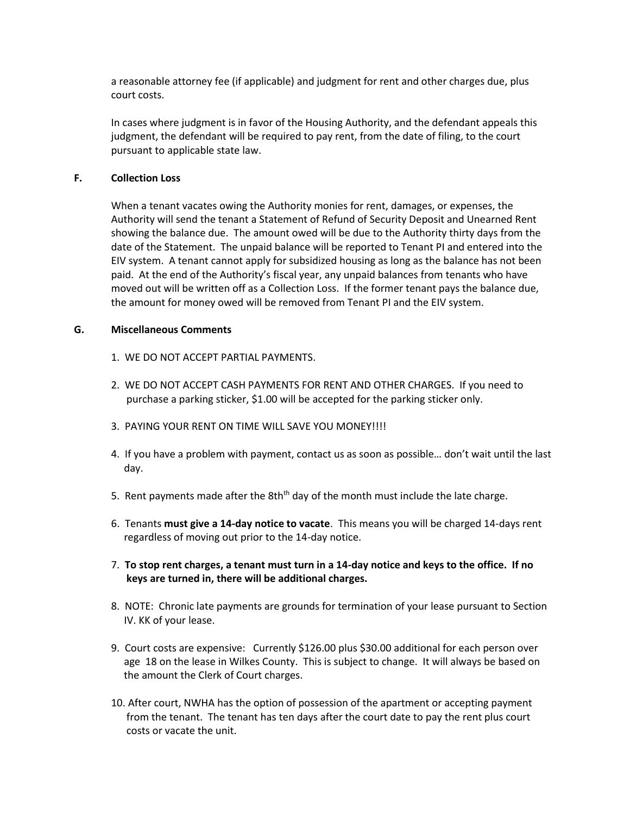a reasonable attorney fee (if applicable) and judgment for rent and other charges due, plus court costs.

In cases where judgment is in favor of the Housing Authority, and the defendant appeals this judgment, the defendant will be required to pay rent, from the date of filing, to the court pursuant to applicable state law.

### **F. Collection Loss**

When a tenant vacates owing the Authority monies for rent, damages, or expenses, the Authority will send the tenant a Statement of Refund of Security Deposit and Unearned Rent showing the balance due. The amount owed will be due to the Authority thirty days from the date of the Statement. The unpaid balance will be reported to Tenant PI and entered into the EIV system. A tenant cannot apply for subsidized housing as long as the balance has not been paid. At the end of the Authority's fiscal year, any unpaid balances from tenants who have moved out will be written off as a Collection Loss. If the former tenant pays the balance due, the amount for money owed will be removed from Tenant PI and the EIV system.

# **G. Miscellaneous Comments**

- 1. WE DO NOT ACCEPT PARTIAL PAYMENTS.
- 2. WE DO NOT ACCEPT CASH PAYMENTS FOR RENT AND OTHER CHARGES. If you need to purchase a parking sticker, \$1.00 will be accepted for the parking sticker only.
- 3. PAYING YOUR RENT ON TIME WILL SAVE YOU MONEY!!!!
- 4. If you have a problem with payment, contact us as soon as possible… don't wait until the last day.
- 5. Rent payments made after the 8th<sup>th</sup> day of the month must include the late charge.
- 6. Tenants **must give a 14-day notice to vacate**. This means you will be charged 14-days rent regardless of moving out prior to the 14-day notice.
- 7. **To stop rent charges, a tenant must turn in a 14-day notice and keys to the office. If no keys are turned in, there will be additional charges.**
- 8. NOTE: Chronic late payments are grounds for termination of your lease pursuant to Section IV. KK of your lease.
- 9. Court costs are expensive: Currently \$126.00 plus \$30.00 additional for each person over age 18 on the lease in Wilkes County. This is subject to change. It will always be based on the amount the Clerk of Court charges.
- 10. After court, NWHA has the option of possession of the apartment or accepting payment from the tenant. The tenant has ten days after the court date to pay the rent plus court costs or vacate the unit.